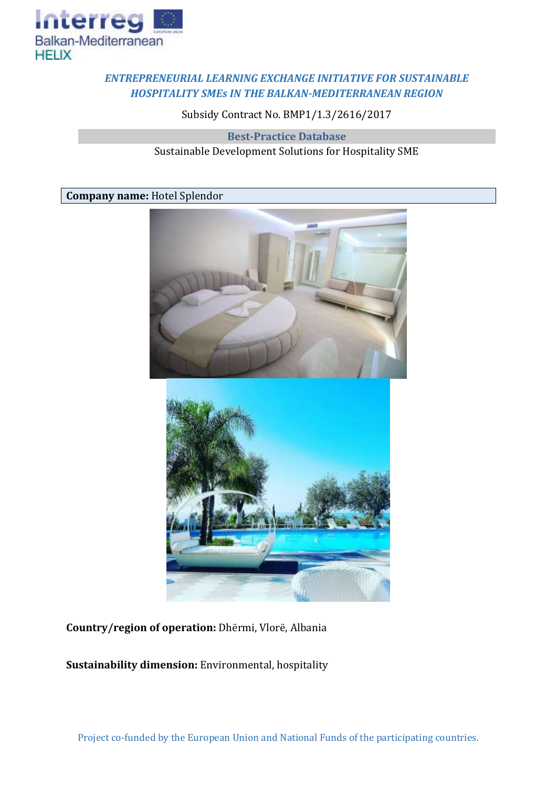

## *ENTREPRENEURIAL LEARNING EXCHANGE INITIATIVE FOR SUSTAINABLE HOSPITALITY SMEs IN THE BALKAN-MEDITERRANEAN REGION*

Subsidy Contract No. BMP1/1.3/2616/2017

**Best-Practice Database** Sustainable Development Solutions for Hospitality SME

## **Company name:** Hotel Splendor



**Country/region of operation:** Dhërmi, Vlorë, Albania

**Sustainability dimension:** Environmental, hospitality